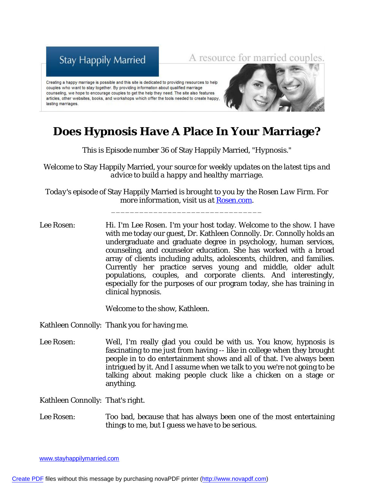## **Stay Happily Married**

A resource for married couples.

Creating a happy marriage is possible and this site is dedicated to providing resources to help couples who want to stay together. By providing information about qualified marriage counseling, we hope to encourage couples to get the help they need. The site also features articles, other websites, books, and workshops which offer the tools needed to create happy, lasting marriages.



## **Does Hypnosis Have A Place In Your Marriage?**

*This is Episode number 36 of* Stay Happily Married*, "Hypnosis."*

*Welcome to* Stay Happily Married*, your source for weekly updates on the latest tips and advice to build a happy and healthy marriage.*

*Today's episode of* Stay Happily Married *is brought to you by the Rosen Law Firm. For more information, visit us at Rosen.com.* 

\_\_\_\_\_\_\_\_\_\_\_\_\_\_\_\_\_\_\_\_\_\_\_\_\_\_\_\_\_\_\_\_

Lee Rosen: Hi. I'm Lee Rosen. I'm your host today. Welcome to the show. I have with me today our guest, Dr. Kathleen Connolly. Dr. Connolly holds an undergraduate and graduate degree in psychology, human services, counseling, and counselor education. She has worked with a broad array of clients including adults, adolescents, children, and families. Currently her practice serves young and middle, older adult populations, couples, and corporate clients. And interestingly, especially for the purposes of our program today, she has training in clinical hypnosis.

Welcome to the show, Kathleen.

Kathleen Connolly: Thank you for having me.

Lee Rosen: Well, I'm really glad you could be with us. You know, hypnosis is fascinating to me just from having -- like in college when they brought people in to do entertainment shows and all of that. I've always been intrigued by it. And I assume when we talk to you we're not going to be talking about making people cluck like a chicken on a stage or anything.

Kathleen Connolly: That's right.

Lee Rosen: Too bad, because that has always been one of the most entertaining things to me, but I guess we have to be serious.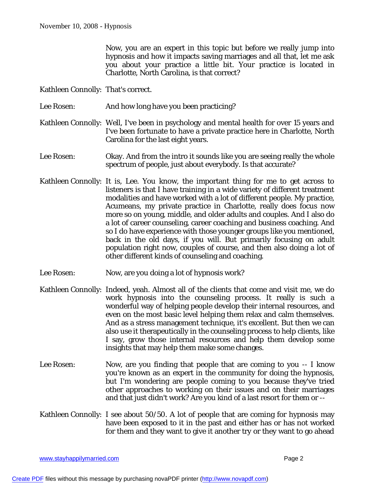Now, you are an expert in this topic but before we really jump into hypnosis and how it impacts saving marriages and all that, let me ask you about your practice a little bit. Your practice is located in Charlotte, North Carolina, is that correct?

Kathleen Connolly: That's correct.

- Lee Rosen: And how long have you been practicing?
- Kathleen Connolly: Well, I've been in psychology and mental health for over 15 years and I've been fortunate to have a private practice here in Charlotte, North Carolina for the last eight years.
- Lee Rosen: Okay. And from the intro it sounds like you are seeing really the whole spectrum of people, just about everybody. Is that accurate?
- Kathleen Connolly: It is, Lee. You know, the important thing for me to get across to listeners is that I have training in a wide variety of different treatment modalities and have worked with a lot of different people. My practice, Acumeans, my private practice in Charlotte, really does focus now more so on young, middle, and older adults and couples. And I also do a lot of career counseling, career coaching and business coaching. And so I do have experience with those younger groups like you mentioned, back in the old days, if you will. But primarily focusing on adult population right now, couples of course, and then also doing a lot of other different kinds of counseling and coaching.
- Lee Rosen: Now, are you doing a lot of hypnosis work?
- Kathleen Connolly: Indeed, yeah. Almost all of the clients that come and visit me, we do work hypnosis into the counseling process. It really is such a wonderful way of helping people develop their internal resources, and even on the most basic level helping them relax and calm themselves. And as a stress management technique, it's excellent. But then we can also use it therapeutically in the counseling process to help clients, like I say, grow those internal resources and help them develop some insights that may help them make some changes.
- Lee Rosen: Now, are you finding that people that are coming to you -- I know you're known as an expert in the community for doing the hypnosis, but I'm wondering are people coming to you because they've tried other approaches to working on their issues and on their marriages and that just didn't work? Are you kind of a last resort for them or --
- Kathleen Connolly: I see about 50/50. A lot of people that are coming for hypnosis may have been exposed to it in the past and either has or has not worked for them and they want to give it another try or they want to go ahead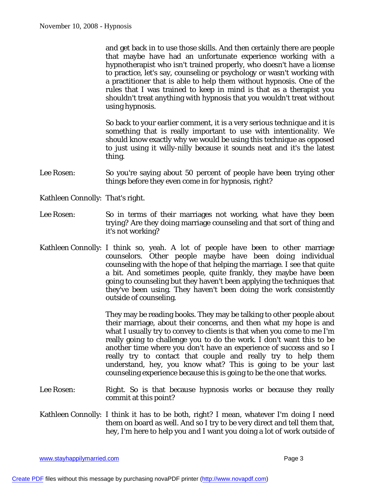and get back in to use those skills. And then certainly there are people that maybe have had an unfortunate experience working with a hypnotherapist who isn't trained properly, who doesn't have a license to practice, let's say, counseling or psychology or wasn't working with a practitioner that is able to help them without hypnosis. One of the rules that I was trained to keep in mind is that as a therapist you shouldn't treat anything with hypnosis that you wouldn't treat without using hypnosis.

So back to your earlier comment, it is a very serious technique and it is something that is really important to use with intentionality. We should know exactly why we would be using this technique as opposed to just using it willy-nilly because it sounds neat and it's the latest thing.

Lee Rosen: So you're saying about 50 percent of people have been trying other things before they even come in for hypnosis, right?

Kathleen Connolly: That's right.

- Lee Rosen: So in terms of their marriages not working, what have they been trying? Are they doing marriage counseling and that sort of thing and it's not working?
- Kathleen Connolly: I think so, yeah. A lot of people have been to other marriage counselors. Other people maybe have been doing individual counseling with the hope of that helping the marriage. I see that quite a bit. And sometimes people, quite frankly, they maybe have been going to counseling but they haven't been applying the techniques that they've been using. They haven't been doing the work consistently outside of counseling.

They may be reading books. They may be talking to other people about their marriage, about their concerns, and then what my hope is and what I usually try to convey to clients is that when you come to me I'm really going to challenge you to do the work. I don't want this to be another time where you don't have an experience of success and so I really try to contact that couple and really try to help them understand, hey, you know what? This is going to be your last counseling experience because this is going to be the one that works.

- Lee Rosen: Right. So is that because hypnosis works or because they really commit at this point?
- Kathleen Connolly: I think it has to be both, right? I mean, whatever I'm doing I need them on board as well. And so I try to be very direct and tell them that, hey, I'm here to help you and I want you doing a lot of work outside of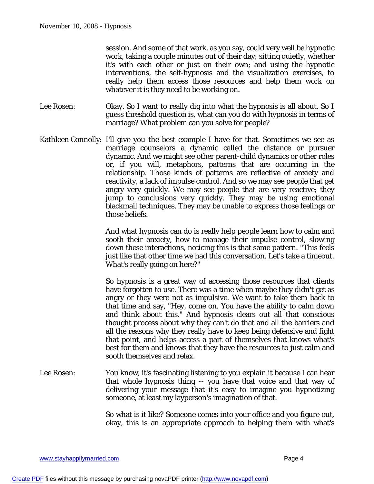session. And some of that work, as you say, could very well be hypnotic work, taking a couple minutes out of their day; sitting quietly, whether it's with each other or just on their own; and using the hypnotic interventions, the self-hypnosis and the visualization exercises, to really help them access those resources and help them work on whatever it is they need to be working on.

- Lee Rosen: Okay. So I want to really dig into what the hypnosis is all about. So I guess threshold question is, what can you do with hypnosis in terms of marriage? What problem can you solve for people?
- Kathleen Connolly: I'll give you the best example I have for that. Sometimes we see as marriage counselors a dynamic called the distance or pursuer dynamic. And we might see other parent-child dynamics or other roles or, if you will, metaphors, patterns that are occurring in the relationship. Those kinds of patterns are reflective of anxiety and reactivity, a lack of impulse control. And so we may see people that get angry very quickly. We may see people that are very reactive; they jump to conclusions very quickly. They may be using emotional blackmail techniques. They may be unable to express those feelings or those beliefs.

And what hypnosis can do is really help people learn how to calm and sooth their anxiety, how to manage their impulse control, slowing down these interactions, noticing this is that same pattern. "This feels just like that other time we had this conversation. Let's take a timeout. What's really going on here?"

So hypnosis is a great way of accessing those resources that clients have forgotten to use. There was a time when maybe they didn't get as angry or they were not as impulsive. We want to take them back to that time and say, "Hey, come on. You have the ability to calm down and think about this." And hypnosis clears out all that conscious thought process about why they can't do that and all the barriers and all the reasons why they really have to keep being defensive and fight that point, and helps access a part of themselves that knows what's best for them and knows that they have the resources to just calm and sooth themselves and relax.

Lee Rosen: You know, it's fascinating listening to you explain it because I can hear that whole hypnosis thing -- you have that voice and that way of delivering your message that it's easy to imagine you hypnotizing someone, at least my layperson's imagination of that.

> So what is it like? Someone comes into your office and you figure out, okay, this is an appropriate approach to helping them with what's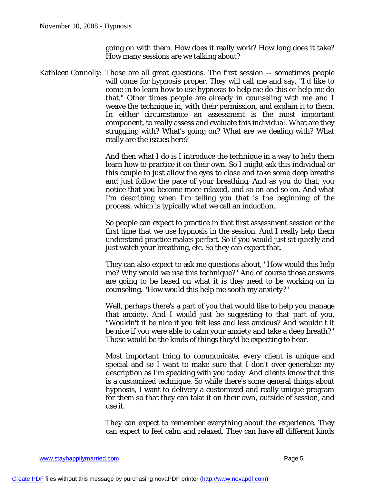going on with them. How does it really work? How long does it take? How many sessions are we talking about?

Kathleen Connolly: Those are all great questions. The first session -- sometimes people will come for hypnosis proper. They will call me and say, "I'd like to come in to learn how to use hypnosis to help me do this or help me do that." Other times people are already in counseling with me and I weave the technique in, with their permission, and explain it to them. In either circumstance an assessment is the most important component, to really assess and evaluate this individual. What are they struggling with? What's going on? What are we dealing with? What really are the issues here?

> And then what I do is I introduce the technique in a way to help them learn how to practice it on their own. So I might ask this individual or this couple to just allow the eyes to close and take some deep breaths and just follow the pace of your breathing. And as you do that, you notice that you become more relaxed, and so on and so on. And what I'm describing when I'm telling you that is the beginning of the process, which is typically what we call an induction.

> So people can expect to practice in that first assessment session or the first time that we use hypnosis in the session. And I really help them understand practice makes perfect. So if you would just sit quietly and just watch your breathing, etc. So they can expect that.

> They can also expect to ask me questions about, "How would this help me? Why would we use this technique?" And of course those answers are going to be based on what it is they need to be working on in counseling. "How would this help me sooth my anxiety?"

> Well, perhaps there's a part of you that would like to help you manage that anxiety. And I would just be suggesting to that part of you, "Wouldn't it be nice if you felt less and less anxious? And wouldn't it be nice if you were able to calm your anxiety and take a deep breath?" Those would be the kinds of things they'd be expecting to hear.

> Most important thing to communicate, every client is unique and special and so I want to make sure that I don't over-generalize my description as I'm speaking with you today. And clients know that this is a customized technique. So while there's some general things about hypnosis, I want to delivery a customized and really unique program for them so that they can take it on their own, outside of session, and use it.

> They can expect to remember everything about the experience. They can expect to feel calm and relaxed. They can have all different kinds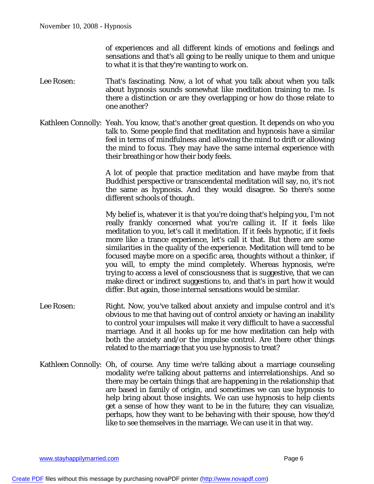of experiences and all different kinds of emotions and feelings and sensations and that's all going to be really unique to them and unique to what it is that they're wanting to work on.

- Lee Rosen: That's fascinating. Now, a lot of what you talk about when you talk about hypnosis sounds somewhat like meditation training to me. Is there a distinction or are they overlapping or how do those relate to one another?
- Kathleen Connolly: Yeah. You know, that's another great question. It depends on who you talk to. Some people find that meditation and hypnosis have a similar feel in terms of mindfulness and allowing the mind to drift or allowing the mind to focus. They may have the same internal experience with their breathing or how their body feels.

A lot of people that practice meditation and have maybe from that Buddhist perspective or transcendental meditation will say, no, it's not the same as hypnosis. And they would disagree. So there's some different schools of though.

My belief is, whatever it is that you're doing that's helping you, I'm not really frankly concerned what you're calling it. If it feels like meditation to you, let's call it meditation. If it feels hypnotic, if it feels more like a trance experience, let's call it that. But there are some similarities in the quality of the experience. Meditation will tend to be focused maybe more on a specific area, thoughts without a thinker, if you will, to empty the mind completely. Whereas hypnosis, we're trying to access a level of consciousness that is suggestive, that we can make direct or indirect suggestions to, and that's in part how it would differ. But again, those internal sensations would be similar.

- Lee Rosen: Right. Now, you've talked about anxiety and impulse control and it's obvious to me that having out of control anxiety or having an inability to control your impulses will make it very difficult to have a successful marriage. And it all hooks up for me how meditation can help with both the anxiety and/or the impulse control. Are there other things related to the marriage that you use hypnosis to treat?
- Kathleen Connolly: Oh, of course. Any time we're talking about a marriage counseling modality we're talking about patterns and interrelationships. And so there may be certain things that are happening in the relationship that are based in family of origin, and sometimes we can use hypnosis to help bring about those insights. We can use hypnosis to help clients get a sense of how they want to be in the future; they can visualize, perhaps, how they want to be behaving with their spouse, how they'd like to see themselves in the marriage. We can use it in that way.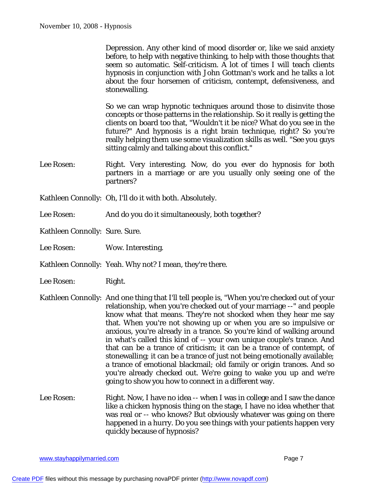Depression. Any other kind of mood disorder or, like we said anxiety before, to help with negative thinking, to help with those thoughts that seem so automatic. Self-criticism. A lot of times I will teach clients hypnosis in conjunction with John Gottman's work and he talks a lot about the four horsemen of criticism, contempt, defensiveness, and stonewalling.

So we can wrap hypnotic techniques around those to disinvite those concepts or those patterns in the relationship. So it really is getting the clients on board too that, "Wouldn't it be nice? What do you see in the future?" And hypnosis is a right brain technique, right? So you're really helping them use some visualization skills as well. "See you guys sitting calmly and talking about this conflict."

- Lee Rosen: Right. Very interesting. Now, do you ever do hypnosis for both partners in a marriage or are you usually only seeing one of the partners?
- Kathleen Connolly: Oh, I'll do it with both. Absolutely.
- Lee Rosen: And do you do it simultaneously, both together?

Kathleen Connolly: Sure. Sure.

Lee Rosen: Wow. Interesting.

Kathleen Connolly: Yeah. Why not? I mean, they're there.

- Lee Rosen: Right.
- Kathleen Connolly: And one thing that I'll tell people is, "When you're checked out of your relationship, when you're checked out of your marriage --" and people know what that means. They're not shocked when they hear me say that. When you're not showing up or when you are so impulsive or anxious, you're already in a trance. So you're kind of walking around in what's called this kind of -- your own unique couple's trance. And that can be a trance of criticism; it can be a trance of contempt, of stonewalling; it can be a trance of just not being emotionally available; a trance of emotional blackmail; old family or origin trances. And so you're already checked out. We're going to wake you up and we're going to show you how to connect in a different way.
- Lee Rosen: Right. Now, I have no idea -- when I was in college and I saw the dance like a chicken hypnosis thing on the stage, I have no idea whether that was real or -- who knows? But obviously whatever was going on there happened in a hurry. Do you see things with your patients happen very quickly because of hypnosis?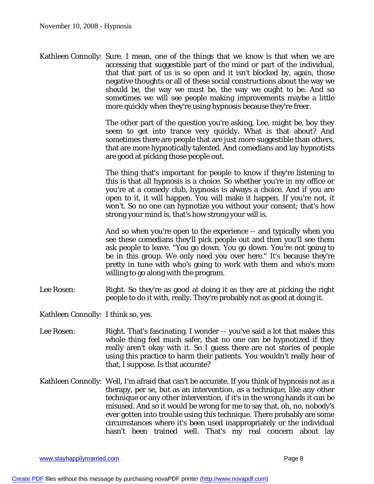Kathleen Connolly: Sure. I mean, one of the things that we know is that when we are accessing that suggestible part of the mind or part of the individual, that that part of us is so open and it isn't blocked by, again, those negative thoughts or all of these social constructions about the way we should be, the way we must be, the way we ought to be. And so sometimes we will see people making improvements maybe a little more quickly when they're using hypnosis because they're freer.

> The other part of the question you're asking, Lee, might be, boy they seem to get into trance very quickly. What is that about? And sometimes there are people that are just more suggestible than others, that are more hypnotically talented. And comedians and lay hypnotists are good at picking those people out.

> The thing that's important for people to know if they're listening to this is that all hypnosis is a choice. So whether you're in my office or you're at a comedy club, hypnosis is always a choice. And if you are open to it, it will happen. You will make it happen. If you're not, it won't. So no one can hypnotize you without your consent; that's how strong your mind is, that's how strong your will is.

> And so when you're open to the experience -- and typically when you see these comedians they'll pick people out and then you'll see them ask people to leave. "You go down. You go down. You're not going to be in this group. We only need you over here." It's because they're pretty in tune with who's going to work with them and who's more willing to go along with the program.

Lee Rosen: Right. So they're as good at doing it as they are at picking the right people to do it with, really. They're probably not as good at doing it.

Kathleen Connolly: I think so, yes.

- Lee Rosen: Right. That's fascinating. I wonder -- you've said a lot that makes this whole thing feel much safer, that no one can be hypnotized if they really aren't okay with it. So I guess there are not stories of people using this practice to harm their patients. You wouldn't really hear of that, I suppose. Is that accurate?
- Kathleen Connolly: Well, I'm afraid that can't be accurate. If you think of hypnosis not as a therapy, per se, but as an intervention, as a technique, like any other technique or any other intervention, if it's in the wrong hands it can be misused. And so it would be wrong for me to say that, oh, no, nobody's ever gotten into trouble using this technique. There probably are some circumstances where it's been used inappropriately or the individual hasn't been trained well. That's my real concern about lay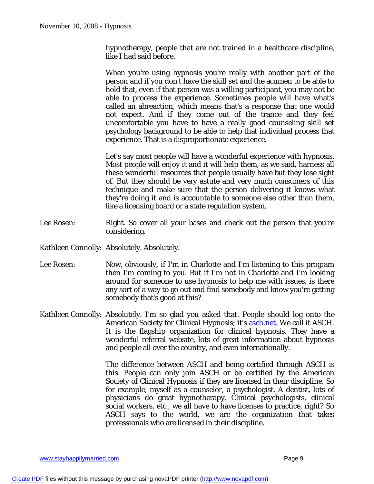hypnotherapy, people that are not trained in a healthcare discipline, like I had said before.

When you're using hypnosis you're really with another part of the person and if you don't have the skill set and the acumen to be able to hold that, even if that person was a willing participant, you may not be able to process the experience. Sometimes people will have what's called an abreaction, which means that's a response that one would not expect. And if they come out of the trance and they feel uncomfortable you have to have a really good counseling skill set psychology background to be able to help that individual process that experience. That is a disproportionate experience.

Let's say most people will have a wonderful experience with hypnosis. Most people will enjoy it and it will help them, as we said, harness all these wonderful resources that people usually have but they lose sight of. But they should be very astute and very much consumers of this technique and make sure that the person delivering it knows what they're doing it and is accountable to someone else other than them, like a licensing board or a state regulation system.

- Lee Rosen: Right. So cover all your bases and check out the person that you're considering.
- Kathleen Connolly: Absolutely. Absolutely.
- Lee Rosen: Now, obviously, if I'm in Charlotte and I'm listening to this program then I'm coming to you. But if I'm not in Charlotte and I'm looking around for someone to use hypnosis to help me with issues, is there any sort of a way to go out and find somebody and know you're getting somebody that's good at this?
- Kathleen Connolly: Absolutely. I'm so glad you asked that. People should log onto the American Society for Clinical Hypnosis; it's aschinet. We call it ASCH. It is the flagship organization for clinical hypnosis. They have a wonderful referral website, lots of great information about hypnosis and people all over the country, and even internationally.

The difference between ASCH and being certified through ASCH is this. People can only join ASCH or be certified by the American Society of Clinical Hypnosis if they are licensed in their discipline. So for example, myself as a counselor, a psychologist. A dentist, lots of physicians do great hypnotherapy. Clinical psychologists, clinical social workers, etc., we all have to have licenses to practice, right? So ASCH says to the world, we are the organization that takes professionals who are licensed in their discipline.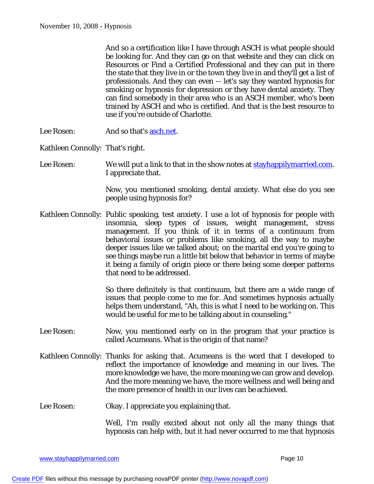And so a certification like I have through ASCH is what people should be looking for. And they can go on that website and they can click on Resources or Find a Certified Professional and they can put in there the state that they live in or the town they live in and they'll get a list of professionals. And they can even -- let's say they wanted hypnosis for smoking or hypnosis for depression or they have dental anxiety. They can find somebody in their area who is an ASCH member, who's been trained by ASCH and who is certified. And that is the best resource to use if you're outside of Charlotte.

- Lee Rosen: And so that's aschinet.
- Kathleen Connolly: That's right.

Lee Rosen: We will put a link to that in the show notes at stayhappilymarried.com. I appreciate that.

> Now, you mentioned smoking, dental anxiety. What else do you see people using hypnosis for?

Kathleen Connolly: Public speaking, test anxiety. I use a lot of hypnosis for people with insomnia, sleep types of issues, weight management, stress management. If you think of it in terms of a continuum from behavioral issues or problems like smoking, all the way to maybe deeper issues like we talked about; on the marital end you're going to see things maybe run a little bit below that behavior in terms of maybe it being a family of origin piece or there being some deeper patterns that need to be addressed.

> So there definitely is that continuum, but there are a wide range of issues that people come to me for. And sometimes hypnosis actually helps them understand, "Ah, this is what I need to be working on. This would be useful for me to be talking about in counseling."

- Lee Rosen: Now, you mentioned early on in the program that your practice is called Acumeans. What is the origin of that name?
- Kathleen Connolly: Thanks for asking that. Acumeans is the word that I developed to reflect the importance of knowledge and meaning in our lives. The more knowledge we have, the more meaning we can grow and develop. And the more meaning we have, the more wellness and well being and the more presence of health in our lives can be achieved.
- Lee Rosen: Okay. I appreciate you explaining that.

Well, I'm really excited about not only all the many things that hypnosis can help with, but it had never occurred to me that hypnosis